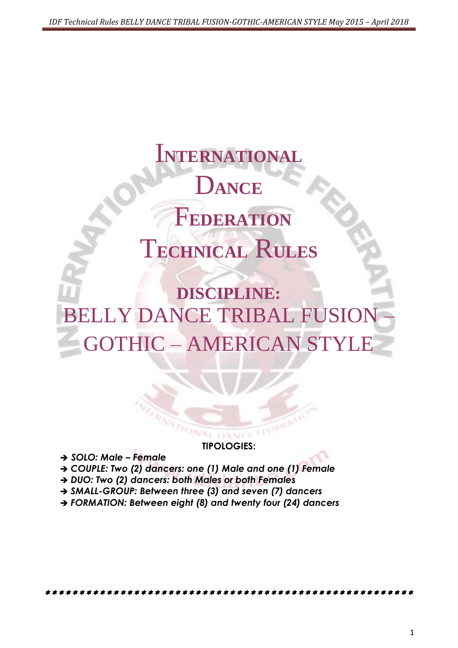# I**NTERNATIONAL** D**ANCE** F**EDERATION** T**ECHNICAL** R**ULES**

## **DISCIPLINE:** BELLY DANCE TRIBAL FUSION GOTHIC – AMERICAN STYLE

**TIPOLOGIES:**

*SOLO: Male – Female*

- *COUPLE: Two (2) dancers: one (1) Male and one (1) Female*
- → DUO: Two (2) dancers: both Males or both Females
- *SMALL-GROUP: Between three (3) and seven (7) dancers*
- *FORMATION: Between eight (8) and twenty four (24) dancers*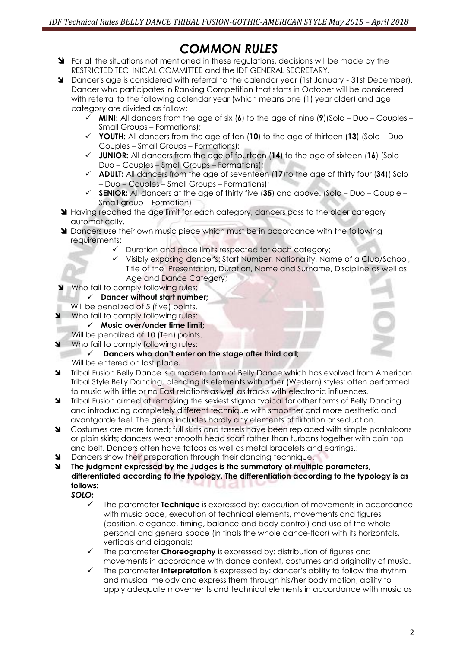## *COMMON RULES*

- **SI** For all the situations not mentioned in these regulations, decisions will be made by the RESTRICTED TECHNICAL COMMITTEE and the IDF GENERAL SECRETARY.
- Dancer's age is considered with referral to the calendar year (1st January 31st December). Dancer who participates in Ranking Competition that starts in October will be considered with referral to the following calendar year (which means one (1) year older) and age category are divided as follow:
	- **MINI:** All dancers from the age of six (**6**) to the age of nine (**9**)(Solo Duo Couples Small Groups – Formations);
	- **YOUTH:** All dancers from the age of ten (**10**) to the age of thirteen (**13**) (Solo Duo Couples – Small Groups – Formations);
	- **JUNIOR:** All dancers from the age of fourteen (**14**) to the age of sixteen (**16**) (Solo Duo – Couples – Small Groups – Formations);
	- **ADULT:** All dancers from the age of seventeen (**17**)to the age of thirty four (**34**)( Solo – Duo – Couples – Small Groups – Formations);
	- **SENIOR:** All dancers at the age of thirty five (**35**) and above. (Solo Duo Couple Small-group – Formation)
- **Having reached the age limit for each category, dancers pass to the older category** automatically.
- **I** Dancers use their own music piece which must be in accordance with the following requirements:
	- Duration and pace limits respected for each category;
	- Visibly exposing dancer's: Start Number, Nationality, Name of a Club/School, Title of the Presentation, Duration, Name and Surname, Discipline as well as Age and Dance Category;
- Who fail to comply following rules:
	- **Dancer without start number;**
- Will be penalized of 5 (five) points.
- Who fail to comply following rules:
	- **Music over/under time limit;**
	- Will be penalized of 10 (Ten) points.
- Who fail to comply following rules:
	- **Dancers who don't enter on the stage after third call;**
	- Will be entered on last place**.**
- **M** Tribal Fusion [Belly Dance](http://en.wikipedia.org/wiki/Belly_dance) is a modern form of Belly Dance which has evolved from American [Tribal Style](http://en.wikipedia.org/wiki/American_Tribal_Style_Belly_Dance) Belly Dancing, blending its elements with other (Western) styles; often performed to music with little or no East relations as well as tracks with electronic influences.
- **S** Tribal Fusion aimed at removing the sexiest stigma typical for other forms of Belly Dancing and introducing completely different technique with smoother and more aesthetic and avantgarde feel. The genre includes hardly any elements of flirtation or seduction.
- S Costumes are more toned; full skirts and tassels have been replaced with simple pantaloons or plain skirts; dancers wear smooth head scarf rather than turbans together with coin top and belt. Dancers often have tatoos as well as metal bracelets and earrings.;
- **M** Dancers show their preparation through their dancing technique.
- **The judgment expressed by the Judges is the summatory of multiple parameters, differentiated according to the typology. The differentiation according to the typology is as follows:** uudu
	- *SOLO:*
		- The parameter **Technique** is expressed by: execution of movements in accordance with music pace, execution of technical elements, movements and figures (position, elegance, timing, balance and body control) and use of the whole personal and general space (in finals the whole dance-floor) with its horizontals, verticals and diagonals;
		- The parameter **Choreography** is expressed by: distribution of figures and movements in accordance with dance context, costumes and originality of music.
		- The parameter **Interpretation** is expressed by: dancer's ability to follow the rhythm and musical melody and express them through his/her body motion; ability to apply adequate movements and technical elements in accordance with music as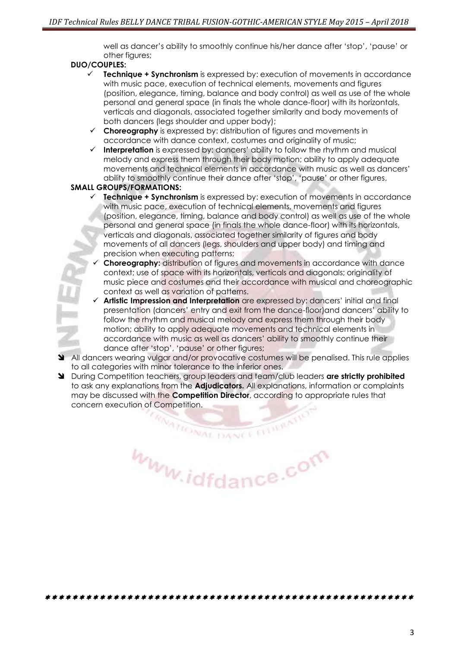well as dancer's ability to smoothly continue his/her dance after 'stop', 'pause' or other figures;

#### **DUO/COUPLES:**

- **Technique + Synchronism** is expressed by: execution of movements in accordance with music pace, execution of technical elements, movements and figures (position, elegance, timing, balance and body control) as well as use of the whole personal and general space (in finals the whole dance-floor) with its horizontals, verticals and diagonals, associated together similarity and body movements of both dancers (legs shoulder and upper body);
- **Choreography** is expressed by: distribution of figures and movements in accordance with dance context, costumes and originality of music;
- **Interpretation** is expressed by: dancers' ability to follow the rhythm and musical melody and express them through their body motion; ability to apply adequate movements and technical elements in accordance with music as well as dancers' ability to smoothly continue their dance after 'stop', 'pause' or other figures,

#### **SMALL GROUPS/FORMATIONS:**

- **Technique + Synchronism** is expressed by: execution of movements in accordance with music pace, execution of technical elements, movements and figures (position, elegance, timing, balance and body control) as well as use of the whole personal and general space (in finals the whole dance-floor) with its horizontals, verticals and diagonals, associated together similarity of figures and body movements of all dancers (legs, shoulders and upper body) and timing and precision when executing patterns;
- **Choreography:** distribution of figures and movements in accordance with dance context; use of space with its horizontals, verticals and diagonals; originality of music piece and costumes and their accordance with musical and choreographic context as well as variation of patterns.
- **Artistic Impression and Interpretation** are expressed by: dancers' initial and final presentation (dancers' entry and exit from the dance-floor)and dancers' ability to follow the rhythm and musical melody and express them through their body motion; ability to apply adequate movements and technical elements in accordance with music as well as dancers' ability to smoothly continue their dance after 'stop', 'pause' or other figures;
- All dancers wearing vulgar and/or provocative costumes will be penalised. This rule applies to all categories with minor tolerance to the inferior ones.
- During Competition teachers, group leaders and team/club leaders **are strictly prohibited**  to ask any explanations from the **Adjudicators.** All explanations, information or complaints may be discussed with the **Competition Director**, according to appropriate rules that concern execution of Competition.

**CRANTIONAL DANCE** www.idfdance.com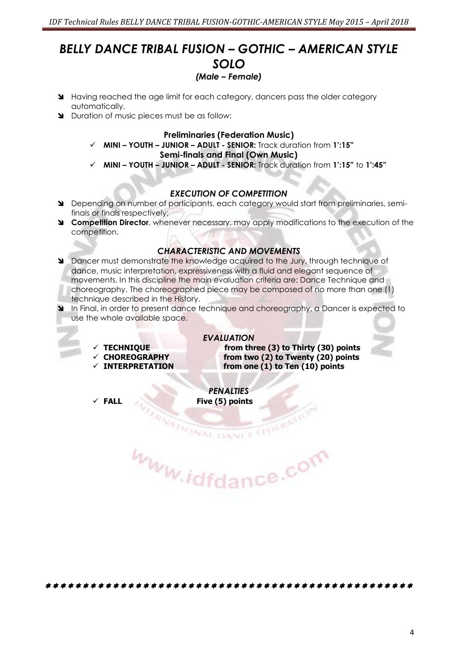## *BELLY DANCE TRIBAL FUSION – GOTHIC – AMERICAN STYLE SOLO (Male – Female)*

- Having reached the age limit for each category, dancers pass the older category automatically.
- **N** Duration of music pieces must be as follow:

#### **Preliminaries (Federation Music)**

**MINI – YOUTH – JUNIOR – ADULT - SENIOR:** Track duration from **1':15"**

#### **Semi-finals and Final (Own Music)**

**MINI – YOUTH – JUNIOR – ADULT - SENIOR:** Track duration from **1':15"** to **1':45"**

#### *EXECUTION OF COMPETITION*

- Depending on number of participants, each category would start from preliminaries, semifinals or finals respectively;
- **Competition Director**, whenever necessary, may apply modifications to the execution of the competition.

#### *CHARACTERISTIC AND MOVEMENTS*

- **M** Dancer must demonstrate the knowledge acquired to the Jury, through technique of dance, music interpretation, expressiveness with a fluid and elegant sequence of movements. In this discipline the main evaluation criteria are: Dance Technique and choreography. The choreographed piece may be composed of no more than one (1) technique described in the History.
- In Final, in order to present dance technique and choreography, a Dancer is expected to use the whole available space.

#### *EVALUATION*

- 
- 
- 

 **TECHNIQUE from three (3) to Thirty (30) points CHOREOGRAPHY from two (2) to Twenty (20) points** from one (1) to Ten (10) points

*PENALTIES*  **FALL Five (5) points**

**VITIONAL DANCE** www.idfdance.com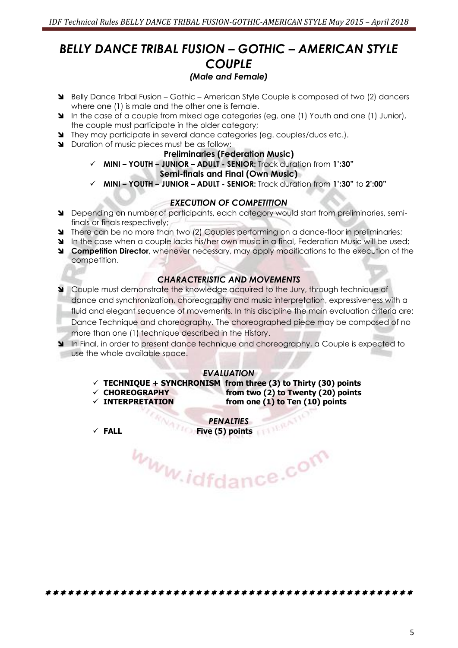### *BELLY DANCE TRIBAL FUSION – GOTHIC – AMERICAN STYLE COUPLE (Male and Female)*

- Belly Dance Tribal Fusion Gothic American Style Couple is composed of two (2) dancers where one (1) is male and the other one is female.
- In the case of a couple from mixed age categories (eg. one (1) Youth and one (1) Junior), the couple must participate in the older category;
- They may participate in several dance categories (eg. couples/duos etc.).
- Duration of music pieces must be as follow:

#### **Preliminaries (Federation Music)**

- **MINI – YOUTH – JUNIOR – ADULT - SENIOR:** Track duration from **1':30" Semi-finals and Final (Own Music)**
	- **MINI – YOUTH – JUNIOR – ADULT - SENIOR:** Track duration from **1':30"** to **2':00"**

#### *EXECUTION OF COMPETITION*

- Depending on number of participants, each category would start from preliminaries, semifinals or finals respectively;
- There can be no more than two (2) Couples performing on a dance-floor in preliminaries;
- In the case when a couple lacks his/her own music in a final, Federation Music will be used;
- **Competition Director**, whenever necessary, may apply modifications to the execution of the competition.

#### *CHARACTERISTIC AND MOVEMENTS*

- Couple must demonstrate the knowledge acquired to the Jury, through technique of dance and synchronization, choreography and music interpretation, expressiveness with a fluid and elegant sequence of movements. In this discipline the main evaluation criteria are: Dance Technique and choreography. The choreographed piece may be composed of no more than one (1) technique described in the History.
- In Final, in order to present dance technique and choreography, a Couple is expected to use the whole available space.

#### *EVALUATION*

- $\checkmark$  TECHNIQUE + SYNCHRONISM from three (3) to Thirty (30) points
- **CHOREOGRAPHY from two (2) to Twenty (20) points**
- **INTERPRETATION from one (1) to Ten (10) points**

*PENALTIES*  **FALL Five (5) points**

Www.idfdance.com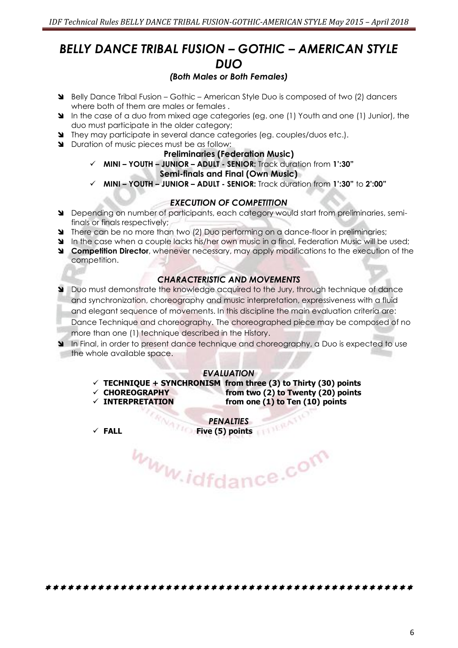## *BELLY DANCE TRIBAL FUSION – GOTHIC – AMERICAN STYLE DUO*

#### *(Both Males or Both Females)*

- Belly Dance Tribal Fusion Gothic American Style Duo is composed of two (2) dancers where both of them are males or females .
- In the case of a duo from mixed age categories (eg. one (1) Youth and one (1) Junior), the duo must participate in the older category;
- They may participate in several dance categories (eg. couples/duos etc.).
- Duration of music pieces must be as follow:

#### **Preliminaries (Federation Music)**

- **MINI – YOUTH – JUNIOR – ADULT - SENIOR:** Track duration from **1':30" Semi-finals and Final (Own Music)**
- **MINI – YOUTH – JUNIOR – ADULT - SENIOR:** Track duration from **1':30"** to **2':00"**

#### *EXECUTION OF COMPETITION*

- Depending on number of participants, each category would start from preliminaries, semifinals or finals respectively;
- **There can be no more than two (2) Duo performing on a dance-floor in preliminaries;**
- In the case when a couple lacks his/her own music in a final, Federation Music will be used;
- **Competition Director**, whenever necessary, may apply modifications to the execution of the competition.

#### *CHARACTERISTIC AND MOVEMENTS*

- Duo must demonstrate the knowledge acquired to the Jury, through technique of dance and synchronization, choreography and music interpretation, expressiveness with a fluid and elegant sequence of movements. In this discipline the main evaluation criteria are: Dance Technique and choreography. The choreographed piece may be composed of no more than one (1) technique described in the History.
- In Final, in order to present dance technique and choreography, a Duo is expected to use the whole available space.

#### *EVALUATION*

- $\checkmark$  TECHNIQUE + SYNCHRONISM from three (3) to Thirty (30) points
- 
- **CHOREOGRAPHY from two (2) to Twenty (20) points INTERPRETATION from one (1) to Ten (10) points**

*PENALTIES*  **FALL Five (5) points**

Www.idfdance.com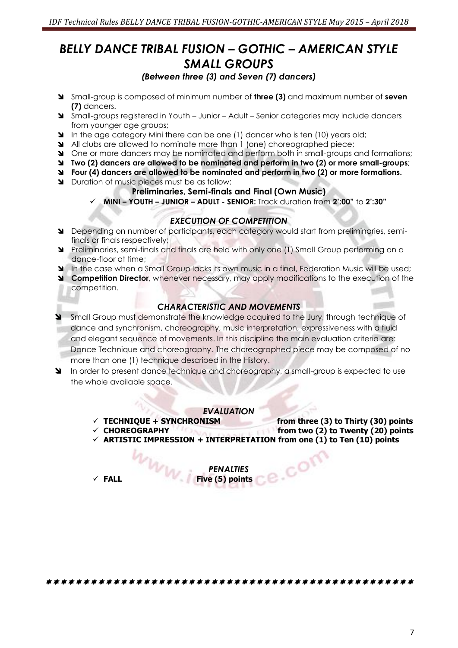## *BELLY DANCE TRIBAL FUSION – GOTHIC – AMERICAN STYLE SMALL GROUPS*

#### *(Between three (3) and Seven (7) dancers)*

- Small-group is composed of minimum number of **three (3)** and maximum number of **seven (7)** dancers.
- Small-groups registered in Youth Junior Adult Senior categories may include dancers from younger age groups;
- In the age category Mini there can be one (1) dancer who is ten (10) years old;
- All clubs are allowed to nominate more than 1 (one) choreographed piece;
- One or more dancers may be nominated and perform both in small-groups and formations;
- **Two (2) dancers are allowed to be nominated and perform in two (2) or more small-groups**;
- **Four (4) dancers are allowed to be nominated and perform in two (2) or more formations.**
- Duration of music pieces must be as follow:

#### **Preliminaries, Semi-finals and Final (Own Music)**

**MINI – YOUTH – JUNIOR – ADULT - SENIOR:** Track duration from **2':00"** to **2':30"**

#### *EXECUTION OF COMPETITION*

- Depending on number of participants, each category would start from preliminaries, semifinals or finals respectively;
- Preliminaries, semi-finals and finals are held with only one (1) Small Group performing on a dance-floor at time;
- In the case when a Small Group lacks its own music in a final, Federation Music will be used:
- **Competition Director**, whenever necessary, may apply modifications to the execution of the competition.

#### *CHARACTERISTIC AND MOVEMENTS*

- Small Group must demonstrate the knowledge acquired to the Jury, through technique of dance and synchronism, choreography, music interpretation, expressiveness with a fluid and elegant sequence of movements. In this discipline the main evaluation criteria are: Dance Technique and choreography. The choreographed piece may be composed of no more than one (1) technique described in the History.
- In order to present dance technique and choreography, a small-group is expected to use the whole available space.

#### *EVALUATION*

- **TECHNIQUE + SYNCHRONISM from three (3) to Thirty (30) points**
- **CHOREOGRAPHY from two (2) to Twenty (20) points**
- **ARTISTIC IMPRESSION + INTERPRETATION from one (1) to Ten (10) points**

ce.com

*PENALTIES*  **FALL Five (5) points**